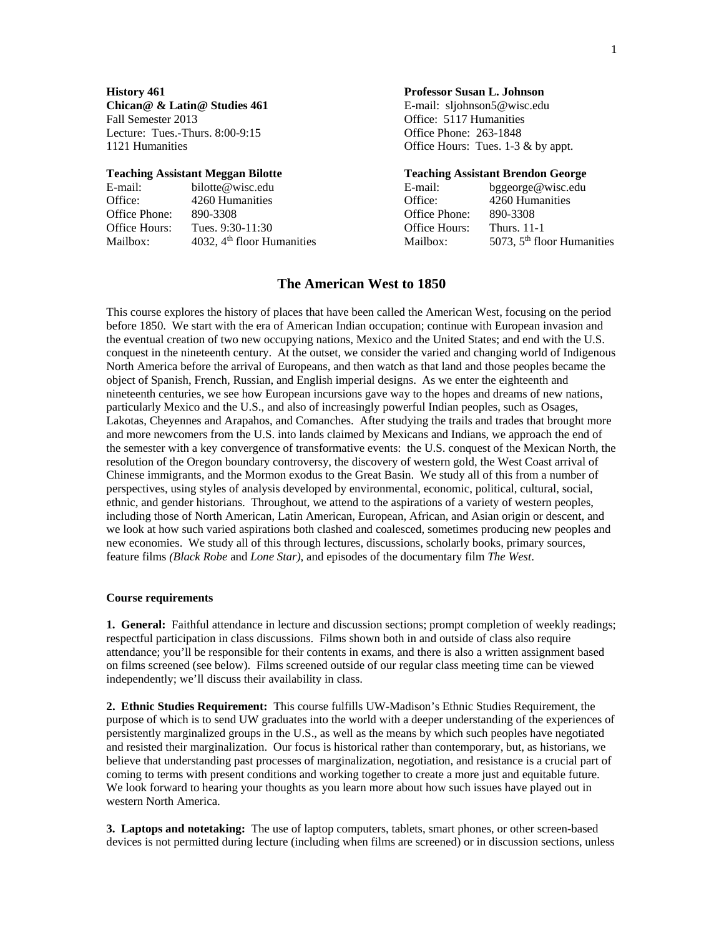**Chican@ & Latin@ Studies 461** E-mail: sljohnson5@wisc.edu Fall Semester 2013 **Fall Semester 2013 Office: 5117 Humanities** Lecture: Tues.-Thurs. 8:00-9:15 Office Phone: 263-1848

| E-mail:       | bilotte@wisc.edu             | E-mail:       | bggeorge@wisc.edu            |
|---------------|------------------------------|---------------|------------------------------|
| Office:       | 4260 Humanities              | Office:       | 4260 Humanities              |
| Office Phone: | 890-3308                     | Office Phone: | 890-3308                     |
| Office Hours: | Tues. 9:30-11:30             | Office Hours: | <b>Thurs.</b> 11-1           |
| Mailbox:      | 4032, $4th$ floor Humanities | Mailbox:      | 5073, $5th$ floor Humanities |

## **History 461 Professor Susan L. Johnson**

1121 Humanities **Office Hours:** Tues. 1-3 & by appt.

#### **Teaching Assistant Meggan Bilotte**  Teaching Assistant Brendon George

| E-mail:              | bggeorge@wisc.edu                      |
|----------------------|----------------------------------------|
| )ffice:              | 4260 Humanities                        |
| Office Phone:        | 890-3308                               |
| <b>Office Hours:</b> | <b>Thurs.</b> 11-1                     |
| Aailbox:             | 5073, 5 <sup>th</sup> floor Humanities |
|                      |                                        |

## **The American West to 1850**

This course explores the history of places that have been called the American West, focusing on the period before 1850. We start with the era of American Indian occupation; continue with European invasion and the eventual creation of two new occupying nations, Mexico and the United States; and end with the U.S. conquest in the nineteenth century. At the outset, we consider the varied and changing world of Indigenous North America before the arrival of Europeans, and then watch as that land and those peoples became the object of Spanish, French, Russian, and English imperial designs. As we enter the eighteenth and nineteenth centuries, we see how European incursions gave way to the hopes and dreams of new nations, particularly Mexico and the U.S., and also of increasingly powerful Indian peoples, such as Osages, Lakotas, Cheyennes and Arapahos, and Comanches. After studying the trails and trades that brought more and more newcomers from the U.S. into lands claimed by Mexicans and Indians, we approach the end of the semester with a key convergence of transformative events: the U.S. conquest of the Mexican North, the resolution of the Oregon boundary controversy, the discovery of western gold, the West Coast arrival of Chinese immigrants, and the Mormon exodus to the Great Basin. We study all of this from a number of perspectives, using styles of analysis developed by environmental, economic, political, cultural, social, ethnic, and gender historians. Throughout, we attend to the aspirations of a variety of western peoples, including those of North American, Latin American, European, African, and Asian origin or descent, and we look at how such varied aspirations both clashed and coalesced, sometimes producing new peoples and new economies. We study all of this through lectures, discussions, scholarly books, primary sources, feature films *(Black Robe* and *Lone Star)*, and episodes of the documentary film *The West*.

#### **Course requirements**

**1. General:** Faithful attendance in lecture and discussion sections; prompt completion of weekly readings; respectful participation in class discussions. Films shown both in and outside of class also require attendance; you'll be responsible for their contents in exams, and there is also a written assignment based on films screened (see below). Films screened outside of our regular class meeting time can be viewed independently; we'll discuss their availability in class.

**2. Ethnic Studies Requirement:** This course fulfills UW-Madison's Ethnic Studies Requirement, the purpose of which is to send UW graduates into the world with a deeper understanding of the experiences of persistently marginalized groups in the U.S., as well as the means by which such peoples have negotiated and resisted their marginalization. Our focus is historical rather than contemporary, but, as historians, we believe that understanding past processes of marginalization, negotiation, and resistance is a crucial part of coming to terms with present conditions and working together to create a more just and equitable future. We look forward to hearing your thoughts as you learn more about how such issues have played out in western North America.

**3. Laptops and notetaking:** The use of laptop computers, tablets, smart phones, or other screen-based devices is not permitted during lecture (including when films are screened) or in discussion sections, unless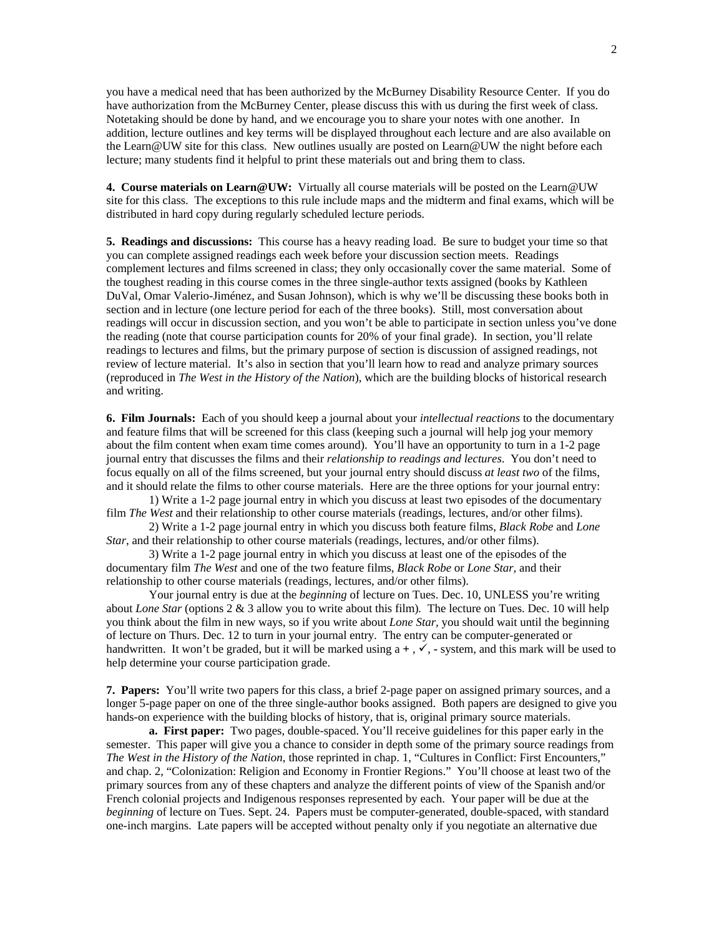you have a medical need that has been authorized by the McBurney Disability Resource Center. If you do have authorization from the McBurney Center, please discuss this with us during the first week of class. Notetaking should be done by hand, and we encourage you to share your notes with one another. In addition, lecture outlines and key terms will be displayed throughout each lecture and are also available on the Learn@UW site for this class. New outlines usually are posted on Learn@UW the night before each lecture; many students find it helpful to print these materials out and bring them to class.

**4. Course materials on Learn@UW:** Virtually all course materials will be posted on the Learn@UW site for this class. The exceptions to this rule include maps and the midterm and final exams, which will be distributed in hard copy during regularly scheduled lecture periods.

**5. Readings and discussions:** This course has a heavy reading load. Be sure to budget your time so that you can complete assigned readings each week before your discussion section meets. Readings complement lectures and films screened in class; they only occasionally cover the same material. Some of the toughest reading in this course comes in the three single-author texts assigned (books by Kathleen DuVal, Omar Valerio-Jiménez, and Susan Johnson), which is why we'll be discussing these books both in section and in lecture (one lecture period for each of the three books). Still, most conversation about readings will occur in discussion section, and you won't be able to participate in section unless you've done the reading (note that course participation counts for 20% of your final grade). In section, you'll relate readings to lectures and films, but the primary purpose of section is discussion of assigned readings, not review of lecture material. It's also in section that you'll learn how to read and analyze primary sources (reproduced in *The West in the History of the Nation*), which are the building blocks of historical research and writing.

**6. Film Journals:** Each of you should keep a journal about your *intellectual reactions* to the documentary and feature films that will be screened for this class (keeping such a journal will help jog your memory about the film content when exam time comes around). You'll have an opportunity to turn in a 1-2 page journal entry that discusses the films and their *relationship to readings and lectures*. You don't need to focus equally on all of the films screened, but your journal entry should discuss *at least two* of the films, and it should relate the films to other course materials. Here are the three options for your journal entry:

1) Write a 1-2 page journal entry in which you discuss at least two episodes of the documentary film *The West* and their relationship to other course materials (readings, lectures, and/or other films).

2) Write a 1-2 page journal entry in which you discuss both feature films, *Black Robe* and *Lone Star*, and their relationship to other course materials (readings, lectures, and/or other films).

3) Write a 1-2 page journal entry in which you discuss at least one of the episodes of the documentary film *The West* and one of the two feature films, *Black Robe* or *Lone Star,* and their relationship to other course materials (readings, lectures, and/or other films).

Your journal entry is due at the *beginning* of lecture on Tues. Dec. 10, UNLESS you're writing about *Lone Star* (options 2 & 3 allow you to write about this film)*.* The lecture on Tues. Dec. 10 will help you think about the film in new ways, so if you write about *Lone Star,* you should wait until the beginning of lecture on Thurs. Dec. 12 to turn in your journal entry. The entry can be computer-generated or handwritten. It won't be graded, but it will be marked using  $a +$ ,  $\checkmark$ , - system, and this mark will be used to help determine your course participation grade.

**7. Papers:** You'll write two papers for this class, a brief 2-page paper on assigned primary sources, and a longer 5-page paper on one of the three single-author books assigned. Both papers are designed to give you hands-on experience with the building blocks of history, that is, original primary source materials.

**a. First paper:** Two pages, double-spaced. You'll receive guidelines for this paper early in the semester. This paper will give you a chance to consider in depth some of the primary source readings from *The West in the History of the Nation*, those reprinted in chap. 1, "Cultures in Conflict: First Encounters," and chap. 2, "Colonization: Religion and Economy in Frontier Regions." You'll choose at least two of the primary sources from any of these chapters and analyze the different points of view of the Spanish and/or French colonial projects and Indigenous responses represented by each. Your paper will be due at the *beginning* of lecture on Tues. Sept. 24.Papers must be computer-generated, double-spaced, with standard one-inch margins. Late papers will be accepted without penalty only if you negotiate an alternative due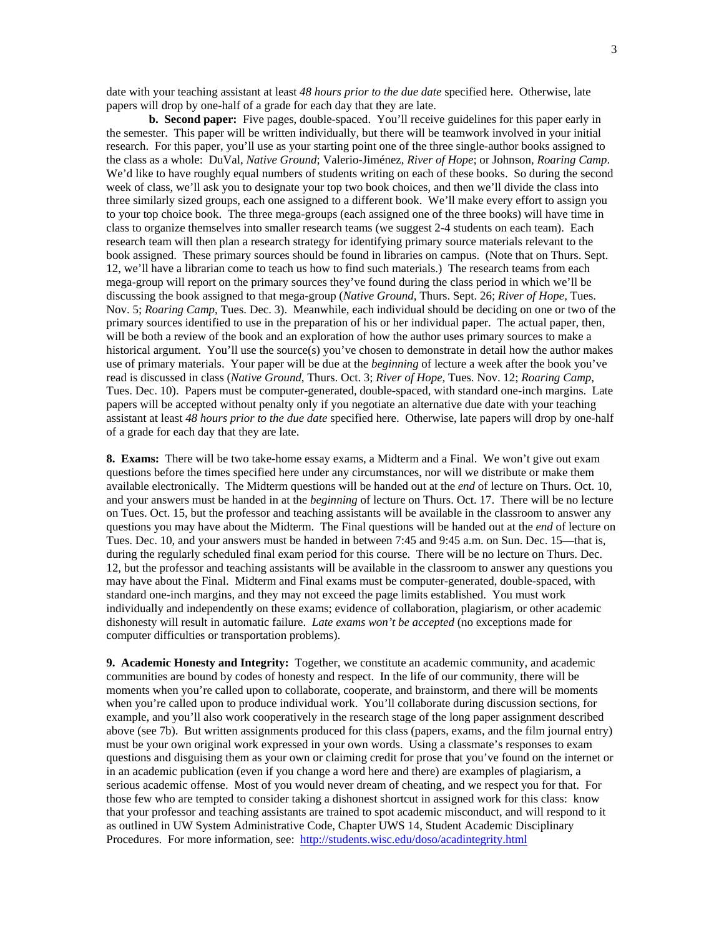date with your teaching assistant at least *48 hours prior to the due date* specified here. Otherwise, late papers will drop by one-half of a grade for each day that they are late.

**b. Second paper:** Five pages, double-spaced. You'll receive guidelines for this paper early in the semester. This paper will be written individually, but there will be teamwork involved in your initial research. For this paper, you'll use as your starting point one of the three single-author books assigned to the class as a whole: DuVal, *Native Ground*; Valerio-Jiménez, *River of Hope*; or Johnson, *Roaring Camp*. We'd like to have roughly equal numbers of students writing on each of these books. So during the second week of class, we'll ask you to designate your top two book choices, and then we'll divide the class into three similarly sized groups, each one assigned to a different book. We'll make every effort to assign you to your top choice book. The three mega-groups (each assigned one of the three books) will have time in class to organize themselves into smaller research teams (we suggest 2-4 students on each team). Each research team will then plan a research strategy for identifying primary source materials relevant to the book assigned. These primary sources should be found in libraries on campus. (Note that on Thurs. Sept. 12, we'll have a librarian come to teach us how to find such materials.) The research teams from each mega-group will report on the primary sources they've found during the class period in which we'll be discussing the book assigned to that mega-group (*Native Ground*, Thurs. Sept. 26; *River of Hope,* Tues. Nov. 5; *Roaring Camp*, Tues. Dec. 3). Meanwhile, each individual should be deciding on one or two of the primary sources identified to use in the preparation of his or her individual paper. The actual paper, then, will be both a review of the book and an exploration of how the author uses primary sources to make a historical argument. You'll use the source(s) you've chosen to demonstrate in detail how the author makes use of primary materials. Your paper will be due at the *beginning* of lecture a week after the book you've read is discussed in class (*Native Ground*, Thurs. Oct. 3; *River of Hope,* Tues. Nov. 12; *Roaring Camp*, Tues. Dec. 10). Papers must be computer-generated, double-spaced, with standard one-inch margins. Late papers will be accepted without penalty only if you negotiate an alternative due date with your teaching assistant at least *48 hours prior to the due date* specified here. Otherwise, late papers will drop by one-half of a grade for each day that they are late.

**8. Exams:** There will be two take-home essay exams, a Midterm and a Final. We won't give out exam questions before the times specified here under any circumstances, nor will we distribute or make them available electronically. The Midterm questions will be handed out at the *end* of lecture on Thurs. Oct. 10, and your answers must be handed in at the *beginning* of lecture on Thurs. Oct. 17. There will be no lecture on Tues. Oct. 15, but the professor and teaching assistants will be available in the classroom to answer any questions you may have about the Midterm. The Final questions will be handed out at the *end* of lecture on Tues. Dec. 10, and your answers must be handed in between 7:45 and 9:45 a.m. on Sun. Dec. 15—that is, during the regularly scheduled final exam period for this course. There will be no lecture on Thurs. Dec. 12, but the professor and teaching assistants will be available in the classroom to answer any questions you may have about the Final. Midterm and Final exams must be computer-generated, double-spaced, with standard one-inch margins, and they may not exceed the page limits established. You must work individually and independently on these exams; evidence of collaboration, plagiarism, or other academic dishonesty will result in automatic failure. *Late exams won't be accepted* (no exceptions made for computer difficulties or transportation problems).

**9. Academic Honesty and Integrity:** Together, we constitute an academic community, and academic communities are bound by codes of honesty and respect. In the life of our community, there will be moments when you're called upon to collaborate, cooperate, and brainstorm, and there will be moments when you're called upon to produce individual work. You'll collaborate during discussion sections, for example, and you'll also work cooperatively in the research stage of the long paper assignment described above (see 7b). But written assignments produced for this class (papers, exams, and the film journal entry) must be your own original work expressed in your own words. Using a classmate's responses to exam questions and disguising them as your own or claiming credit for prose that you've found on the internet or in an academic publication (even if you change a word here and there) are examples of plagiarism, a serious academic offense. Most of you would never dream of cheating, and we respect you for that. For those few who are tempted to consider taking a dishonest shortcut in assigned work for this class: know that your professor and teaching assistants are trained to spot academic misconduct, and will respond to it as outlined in UW System Administrative Code, Chapter UWS 14, Student Academic Disciplinary Procedures. For more information, see: http://students.wisc.edu/doso/acadintegrity.html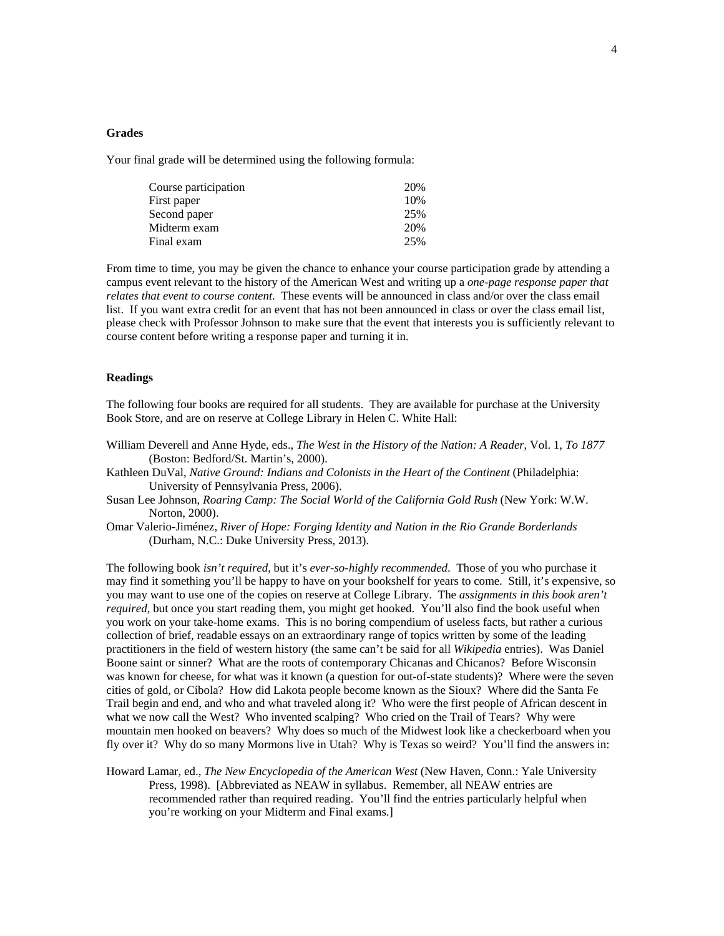## **Grades**

Your final grade will be determined using the following formula:

| Course participation | 20% |
|----------------------|-----|
| First paper          | 10% |
| Second paper         | 25% |
| Midterm exam         | 20% |
| Final exam           | 25% |

From time to time, you may be given the chance to enhance your course participation grade by attending a campus event relevant to the history of the American West and writing up a *one-page response paper that relates that event to course content*. These events will be announced in class and/or over the class email list. If you want extra credit for an event that has not been announced in class or over the class email list, please check with Professor Johnson to make sure that the event that interests you is sufficiently relevant to course content before writing a response paper and turning it in.

#### **Readings**

The following four books are required for all students. They are available for purchase at the University Book Store, and are on reserve at College Library in Helen C. White Hall:

William Deverell and Anne Hyde, eds., *The West in the History of the Nation: A Reader*, Vol. 1, *To 1877* (Boston: Bedford/St. Martin's, 2000).

Kathleen DuVal, *Native Ground: Indians and Colonists in the Heart of the Continent* (Philadelphia: University of Pennsylvania Press, 2006).

- Susan Lee Johnson, *Roaring Camp: The Social World of the California Gold Rush* (New York: W.W. Norton, 2000).
- Omar Valerio-Jiménez, *River of Hope: Forging Identity and Nation in the Rio Grande Borderlands* (Durham, N.C.: Duke University Press, 2013).

The following book *isn't required*, but it's *ever-so-highly recommended*. Those of you who purchase it may find it something you'll be happy to have on your bookshelf for years to come. Still, it's expensive, so you may want to use one of the copies on reserve at College Library. The *assignments in this book aren't required*, but once you start reading them, you might get hooked. You'll also find the book useful when you work on your take-home exams. This is no boring compendium of useless facts, but rather a curious collection of brief, readable essays on an extraordinary range of topics written by some of the leading practitioners in the field of western history (the same can't be said for all *Wikipedia* entries). Was Daniel Boone saint or sinner? What are the roots of contemporary Chicanas and Chicanos? Before Wisconsin was known for cheese, for what was it known (a question for out-of-state students)? Where were the seven cities of gold, or Cíbola? How did Lakota people become known as the Sioux? Where did the Santa Fe Trail begin and end, and who and what traveled along it? Who were the first people of African descent in what we now call the West? Who invented scalping? Who cried on the Trail of Tears? Why were mountain men hooked on beavers? Why does so much of the Midwest look like a checkerboard when you fly over it? Why do so many Mormons live in Utah? Why is Texas so weird? You'll find the answers in:

Howard Lamar, ed., *The New Encyclopedia of the American West* (New Haven, Conn.: Yale University Press, 1998). [Abbreviated as NEAW in syllabus. Remember, all NEAW entries are recommended rather than required reading. You'll find the entries particularly helpful when you're working on your Midterm and Final exams.]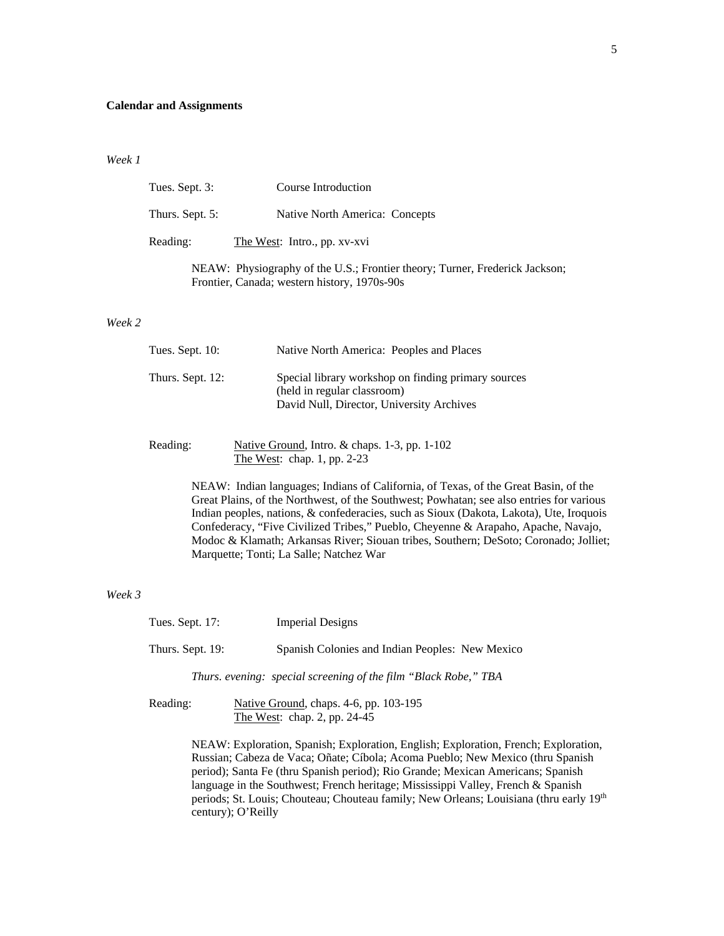#### **Calendar and Assignments**

*Week 1*

| Tues. Sept. 3:  | Course Introduction                                                             |
|-----------------|---------------------------------------------------------------------------------|
| Thurs. Sept. 5: | Native North America: Concepts                                                  |
| Reading:        | The West: Intro., pp. xv-xvi                                                    |
|                 | $NFAW_1$ . Physiography of the $I.S.$ Frontier theory: Turner, Frederick Jacks. |

NEAW: Physiography of the U.S.; Frontier theory; Turner, Frederick Jackson; Frontier, Canada; western history, 1970s-90s

#### *Week 2*

| Tues. Sept. $10$ : | Native North America: Peoples and Places                                                                                        |
|--------------------|---------------------------------------------------------------------------------------------------------------------------------|
| Thurs. Sept. 12:   | Special library workshop on finding primary sources<br>(held in regular classroom)<br>David Null, Director, University Archives |

| Reading: | Native Ground, Intro. $&$ chaps. 1-3, pp. 1-102 |
|----------|-------------------------------------------------|
|          | The West: chap. 1, pp. 2-23                     |

NEAW: Indian languages; Indians of California, of Texas, of the Great Basin, of the Great Plains, of the Northwest, of the Southwest; Powhatan; see also entries for various Indian peoples, nations, & confederacies, such as Sioux (Dakota, Lakota), Ute, Iroquois Confederacy, "Five Civilized Tribes," Pueblo, Cheyenne & Arapaho, Apache, Navajo, Modoc & Klamath; Arkansas River; Siouan tribes, Southern; DeSoto; Coronado; Jolliet; Marquette; Tonti; La Salle; Natchez War

#### *Week 3*

| Tues. Sept. 17:  | <b>Imperial Designs</b>                                         |
|------------------|-----------------------------------------------------------------|
| Thurs. Sept. 19: | Spanish Colonies and Indian Peoples: New Mexico                 |
|                  | Thurs. evening: special screening of the film "Black Robe," TBA |

Reading: Native Ground, chaps. 4-6, pp. 103-195 The West: chap. 2, pp. 24-45

> NEAW: Exploration, Spanish; Exploration, English; Exploration, French; Exploration, Russian; Cabeza de Vaca; Oñate; Cíbola; Acoma Pueblo; New Mexico (thru Spanish period); Santa Fe (thru Spanish period); Rio Grande; Mexican Americans; Spanish language in the Southwest; French heritage; Mississippi Valley, French & Spanish periods; St. Louis; Chouteau; Chouteau family; New Orleans; Louisiana (thru early 19th century); O'Reilly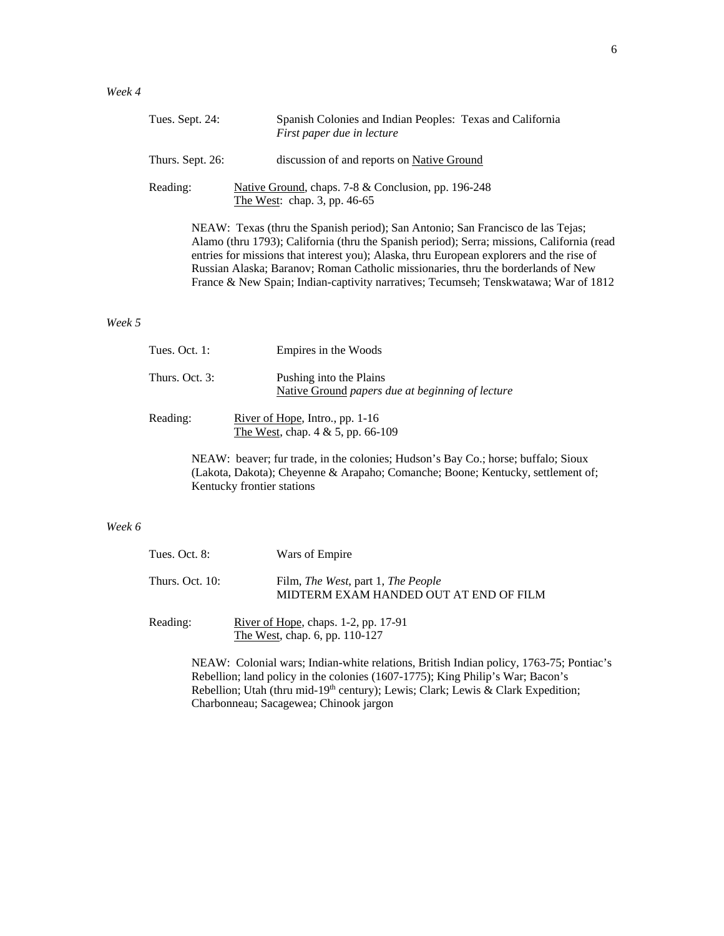| Tues. Sept. 24:  | Spanish Colonies and Indian Peoples: Texas and California<br>First paper due in lecture                                                                                                                                                                                   |
|------------------|---------------------------------------------------------------------------------------------------------------------------------------------------------------------------------------------------------------------------------------------------------------------------|
| Thurs. Sept. 26: | discussion of and reports on Native Ground                                                                                                                                                                                                                                |
| Reading:         | Native Ground, chaps. 7-8 & Conclusion, pp. 196-248<br>The West: chap. $3$ , pp. $46-65$                                                                                                                                                                                  |
|                  | NEAW: Texas (thru the Spanish period); San Antonio; San Francisco de las Tejas;<br>Alamo (thru 1793); California (thru the Spanish period); Serra; missions, California (read<br>entries for missions that interest you); Alaska, thru European explorers and the rise of |

Russian Alaska; Baranov; Roman Catholic missionaries, thru the borderlands of New France & New Spain; Indian-captivity narratives; Tecumseh; Tenskwatawa; War of 1812

#### *Week 5*

| Tues. Oct. $1:$ | Empires in the Woods                                                        |
|-----------------|-----------------------------------------------------------------------------|
| Thurs. Oct. 3:  | Pushing into the Plains<br>Native Ground papers due at beginning of lecture |
| Reading:        | River of Hope, Intro., pp. $1-16$<br>The West, chap. $4 & 5$ , pp. 66-109   |

NEAW: beaver; fur trade, in the colonies; Hudson's Bay Co.; horse; buffalo; Sioux (Lakota, Dakota); Cheyenne & Arapaho; Comanche; Boone; Kentucky, settlement of; Kentucky frontier stations

# *Week 6*

| Tues. Oct. 8:   | Wars of Empire                                                                              |
|-----------------|---------------------------------------------------------------------------------------------|
| Thurs. Oct. 10: | Film, <i>The West</i> , part 1, <i>The People</i><br>MIDTERM EXAM HANDED OUT AT END OF FILM |
| Reading:        | River of Hope, chaps. 1-2, pp. 17-91<br>The West, chap. 6, pp. 110-127                      |
|                 | NEAW: Colonial wars: Indian-white relations. British Indian policy, 1763-7.                 |

5; Pontiac's Rebellion; land policy in the colonies (1607-1775); King Philip's War; Bacon's Rebellion; Utah (thru mid-19<sup>th</sup> century); Lewis; Clark; Lewis & Clark Expedition; Charbonneau; Sacagewea; Chinook jargon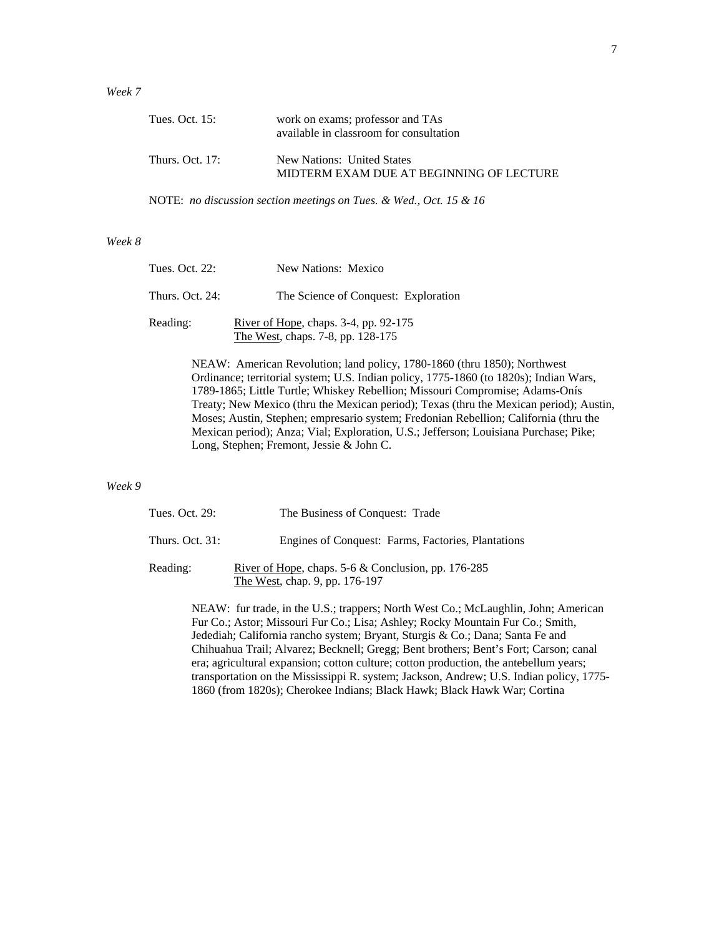## *Week 7*

| Tues. Oct. 15:    | work on exams; professor and TAs<br>available in classroom for consultation |
|-------------------|-----------------------------------------------------------------------------|
| Thurs. Oct. $17:$ | New Nations: United States<br>MIDTERM EXAM DUE AT BEGINNING OF LECTURE      |

NOTE: *no discussion section meetings on Tues. & Wed., Oct. 15 & 16*

# *Week 8*

| Tues. Oct. 22:  | New Nations: Mexico                                                        |
|-----------------|----------------------------------------------------------------------------|
| Thurs. Oct. 24: | The Science of Conquest: Exploration                                       |
| Reading:        | River of Hope, chaps. 3-4, pp. 92-175<br>The West, chaps. 7-8, pp. 128-175 |

NEAW: American Revolution; land policy, 1780-1860 (thru 1850); Northwest Ordinance; territorial system; U.S. Indian policy, 1775-1860 (to 1820s); Indian Wars, 1789-1865; Little Turtle; Whiskey Rebellion; Missouri Compromise; Adams-Onís Treaty; New Mexico (thru the Mexican period); Texas (thru the Mexican period); Austin, Moses; Austin, Stephen; empresario system; Fredonian Rebellion; California (thru the Mexican period); Anza; Vial; Exploration, U.S.; Jefferson; Louisiana Purchase; Pike; Long, Stephen; Fremont, Jessie & John C.

## *Week 9*

| Tues. Oct. 29:    | The Business of Conquest: Trade                                                                 |
|-------------------|-------------------------------------------------------------------------------------------------|
| Thurs. Oct. $31:$ | Engines of Conquest: Farms, Factories, Plantations                                              |
| Reading:          | <u>River of Hope</u> , chaps. $5-6$ & Conclusion, pp. 176-285<br>The West, chap. 9, pp. 176-197 |

NEAW: fur trade, in the U.S.; trappers; North West Co.; McLaughlin, John; American Fur Co.; Astor; Missouri Fur Co.; Lisa; Ashley; Rocky Mountain Fur Co.; Smith, Jedediah; California rancho system; Bryant, Sturgis & Co.; Dana; Santa Fe and Chihuahua Trail; Alvarez; Becknell; Gregg; Bent brothers; Bent's Fort; Carson; canal era; agricultural expansion; cotton culture; cotton production, the antebellum years; transportation on the Mississippi R. system; Jackson, Andrew; U.S. Indian policy, 1775- 1860 (from 1820s); Cherokee Indians; Black Hawk; Black Hawk War; Cortina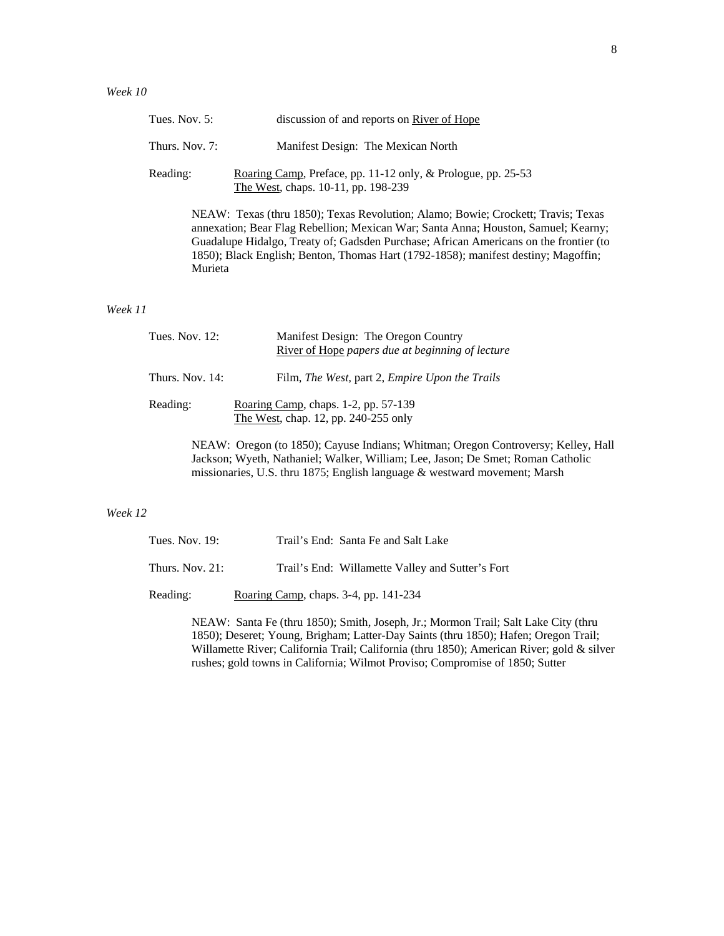| Tues. Nov. $5$ : | discussion of and reports on River of Hope                                                                                                           |
|------------------|------------------------------------------------------------------------------------------------------------------------------------------------------|
| Thurs. Nov. 7:   | Manifest Design: The Mexican North                                                                                                                   |
| Reading:         | Roaring Camp, Preface, pp. 11-12 only, & Prologue, pp. 25-53<br>The West, chaps. 10-11, pp. 198-239                                                  |
|                  | NEAW: Texas (thru 1850); Texas Revolution; Alamo; Bowie; Crockett; Trav<br>annexation; Bear Flag Rebellion; Mexican War; Santa Anna; Houston, Samuel |

is; Texas exation; Rearny; Guadalupe Hidalgo, Treaty of; Gadsden Purchase; African Americans on the frontier (to 1850); Black English; Benton, Thomas Hart (1792-1858); manifest destiny; Magoffin; Murieta

#### *Week 11*

| Tues. Nov. $12$ : | Manifest Design: The Oregon Country<br>River of Hope papers due at beginning of lecture |
|-------------------|-----------------------------------------------------------------------------------------|
| Thurs. Nov. 14:   | Film, The West, part 2, Empire Upon the Trails                                          |
| Reading:          | Roaring Camp, chaps. 1-2, pp. 57-139<br>The West, chap. 12, pp. 240-255 only            |

NEAW: Oregon (to 1850); Cayuse Indians; Whitman; Oregon Controversy; Kelley, Hall Jackson; Wyeth, Nathaniel; Walker, William; Lee, Jason; De Smet; Roman Catholic missionaries, U.S. thru 1875; English language & westward movement; Marsh

# *Week 12*

| Tues. Nov. $19:$   | Trail's End: Santa Fe and Salt Lake              |
|--------------------|--------------------------------------------------|
| Thurs. Nov. $21$ : | Trail's End: Willamette Valley and Sutter's Fort |
| Reading:           | Roaring Camp, chaps. 3-4, pp. 141-234            |

NEAW: Santa Fe (thru 1850); Smith, Joseph, Jr.; Mormon Trail; Salt Lake City (thru 1850); Deseret; Young, Brigham; Latter-Day Saints (thru 1850); Hafen; Oregon Trail; Willamette River; California Trail; California (thru 1850); American River; gold & silver rushes; gold towns in California; Wilmot Proviso; Compromise of 1850; Sutter